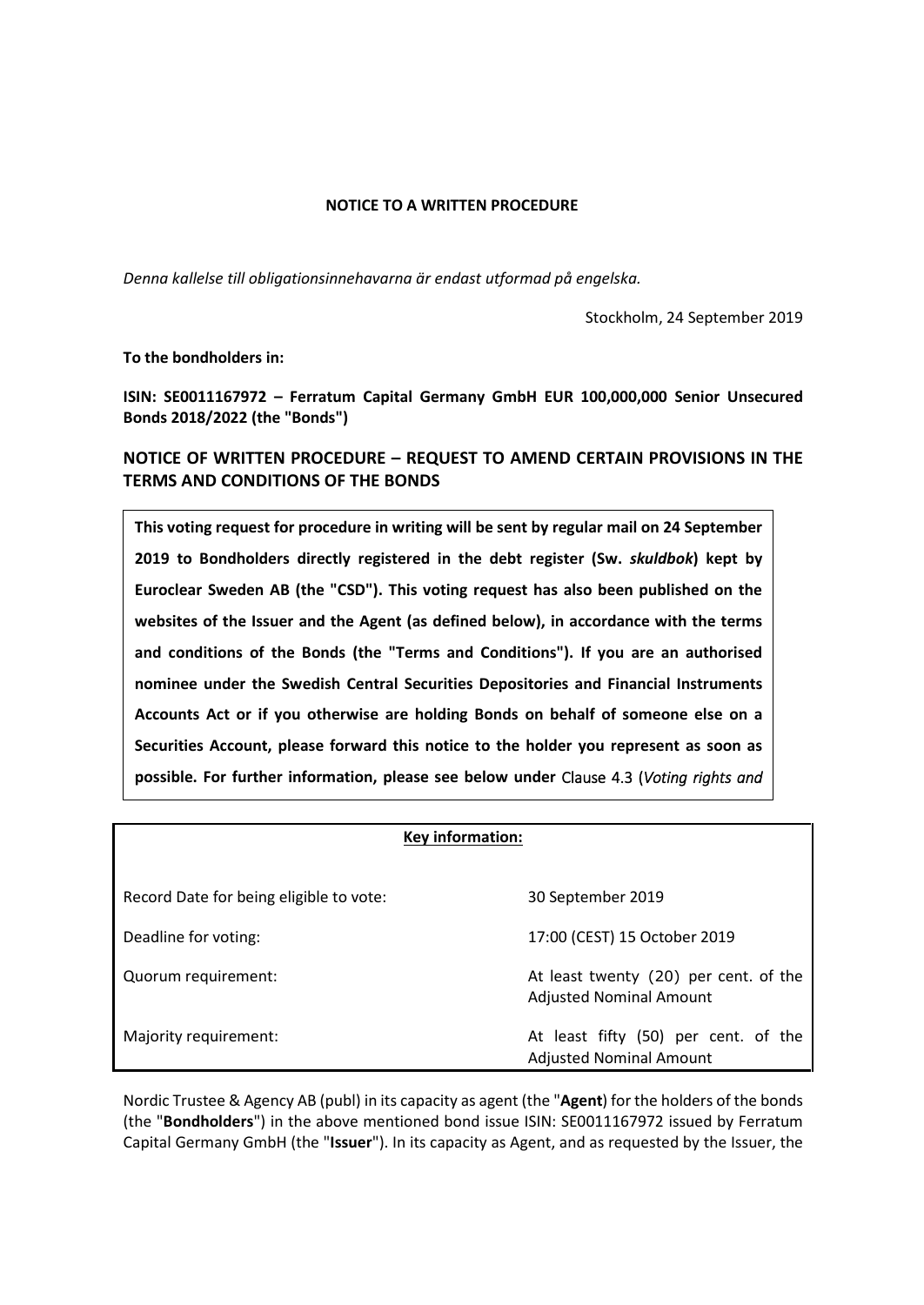## **NOTICE TO A WRITTEN PROCEDURE**

*Denna kallelse till obligationsinnehavarna är endast utformad på engelska.* 

Stockholm, 24 September 2019

**To the bondholders in:** 

**ISIN: SE0011167972 – Ferratum Capital Germany GmbH EUR 100,000,000 Senior Unsecured Bonds 2018/2022 (the "Bonds")** 

**NOTICE OF WRITTEN PROCEDURE – REQUEST TO AMEND CERTAIN PROVISIONS IN THE TERMS AND CONDITIONS OF THE BONDS** 

**This voting request for procedure in writing will be sent by regular mail on 24 September 2019 to Bondholders directly registered in the debt register (Sw.** *skuldbok***) kept by Euroclear Sweden AB (the "CSD"). This voting request has also been published on the websites of the Issuer and the Agent (as defined below), in accordance with the terms and conditions of the Bonds (the "Terms and Conditions"). If you are an authorised nominee under the Swedish Central Securities Depositories and Financial Instruments Accounts Act or if you otherwise are holding Bonds on behalf of someone else on a Securities Account, please forward this notice to the holder you represent as soon as possible. For further information, please see below under** Clause [4.3](#page-3-0) (*Voting rights and* 

### **Key information:**

| Record Date for being eligible to vote: | 30 September 2019                                                       |
|-----------------------------------------|-------------------------------------------------------------------------|
| Deadline for voting:                    | 17:00 (CEST) 15 October 2019                                            |
| Quorum requirement:                     | At least twenty (20) per cent. of the<br><b>Adjusted Nominal Amount</b> |
| Majority requirement:                   | At least fifty (50) per cent. of the<br><b>Adjusted Nominal Amount</b>  |

Nordic Trustee & Agency AB (publ) in its capacity as agent (the "**Agent**) for the holders of the bonds (the "**Bondholders**") in the above mentioned bond issue ISIN: SE0011167972 issued by Ferratum Capital Germany GmbH (the "**Issuer**"). In its capacity as Agent, and as requested by the Issuer, the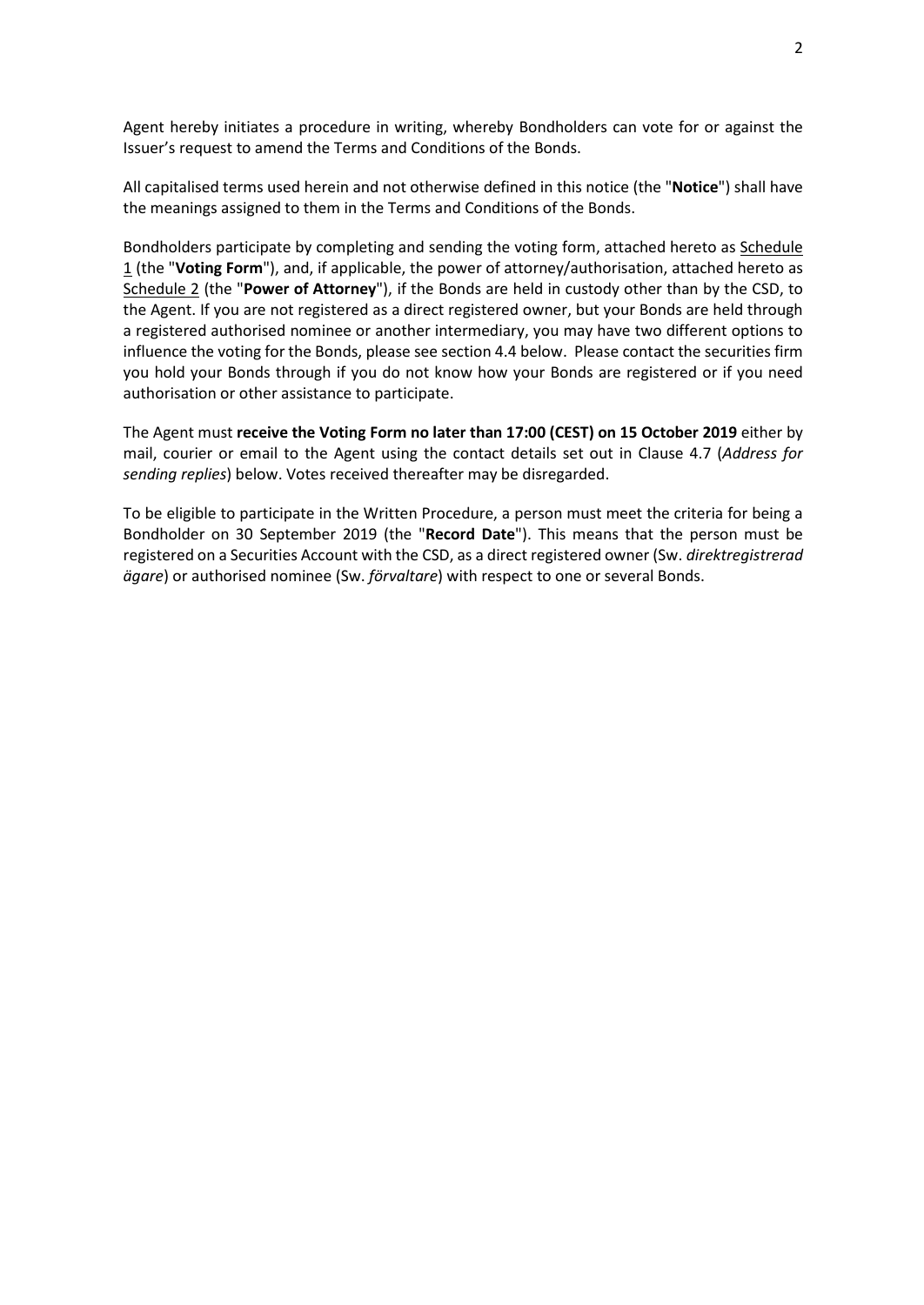Agent hereby initiates a procedure in writing, whereby Bondholders can vote for or against the Issuer's request to amend the Terms and Conditions of the Bonds.

All capitalised terms used herein and not otherwise defined in this notice (the "**Notice**") shall have the meanings assigned to them in the Terms and Conditions of the Bonds.

Bondholders participate by completing and sending the voting form, attached hereto as Schedule 1 (the "**Voting Form**"), and, if applicable, the power of attorney/authorisation, attached hereto as Schedule 2 (the "**Power of Attorney**"), if the Bonds are held in custody other than by the CSD, to the Agent. If you are not registered as a direct registered owner, but your Bonds are held through a registered authorised nominee or another intermediary, you may have two different options to influence the voting for the Bonds, please see section [4.4](#page-4-0) below. Please contact the securities firm you hold your Bonds through if you do not know how your Bonds are registered or if you need authorisation or other assistance to participate.

The Agent must **receive the Voting Form no later than 17:00 (CEST) on 15 October 2019** either by mail, courier or email to the Agent using the contact details set out in Clause [4.7](#page-4-1) (*Address for sending replies*) below. Votes received thereafter may be disregarded.

To be eligible to participate in the Written Procedure, a person must meet the criteria for being a Bondholder on 30 September 2019 (the "**Record Date**"). This means that the person must be registered on a Securities Account with the CSD, as a direct registered owner (Sw. *direktregistrerad ägare*) or authorised nominee (Sw. *förvaltare*) with respect to one or several Bonds.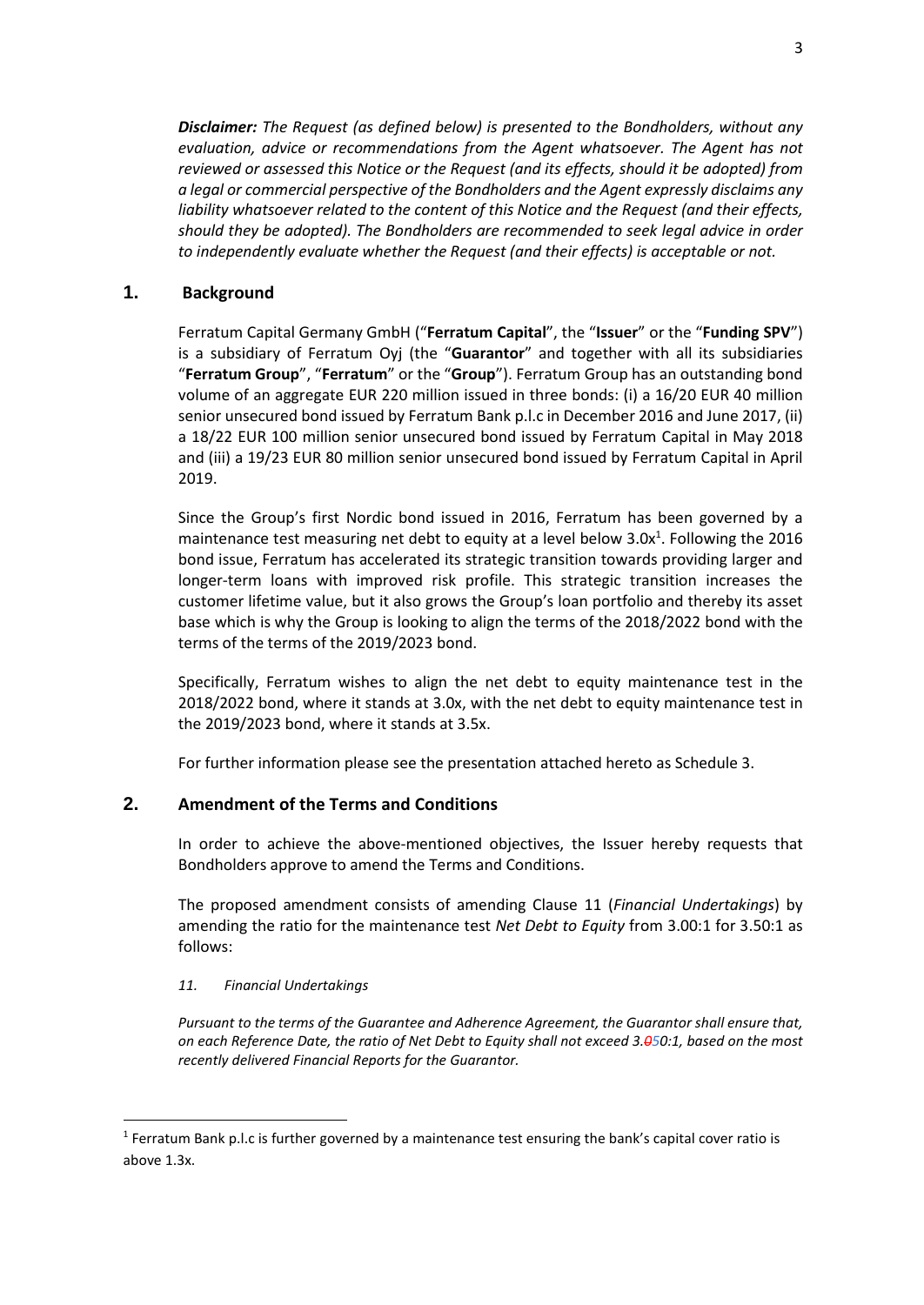*Disclaimer: The Request (as defined below) is presented to the Bondholders, without any evaluation, advice or recommendations from the Agent whatsoever. The Agent has not reviewed or assessed this Notice or the Request (and its effects, should it be adopted) from a legal or commercial perspective of the Bondholders and the Agent expressly disclaims any liability whatsoever related to the content of this Notice and the Request (and their effects, should they be adopted). The Bondholders are recommended to seek legal advice in order to independently evaluate whether the Request (and their effects) is acceptable or not.* 

# **1. Background**

Ferratum Capital Germany GmbH ("**Ferratum Capital**", the "**Issuer**" or the "**Funding SPV**") is a subsidiary of Ferratum Oyj (the "**Guarantor**" and together with all its subsidiaries "**Ferratum Group**", "**Ferratum**" or the "**Group**"). Ferratum Group has an outstanding bond volume of an aggregate EUR 220 million issued in three bonds: (i) a 16/20 EUR 40 million senior unsecured bond issued by Ferratum Bank p.l.c in December 2016 and June 2017, (ii) a 18/22 EUR 100 million senior unsecured bond issued by Ferratum Capital in May 2018 and (iii) a 19/23 EUR 80 million senior unsecured bond issued by Ferratum Capital in April 2019.

Since the Group's first Nordic bond issued in 2016, Ferratum has been governed by a maintenance test measuring net debt to equity at a level below  $3.0x<sup>1</sup>$ . Following the 2016 bond issue, Ferratum has accelerated its strategic transition towards providing larger and longer-term loans with improved risk profile. This strategic transition increases the customer lifetime value, but it also grows the Group's loan portfolio and thereby its asset base which is why the Group is looking to align the terms of the 2018/2022 bond with the terms of the terms of the 2019/2023 bond.

Specifically, Ferratum wishes to align the net debt to equity maintenance test in the 2018/2022 bond, where it stands at 3.0x, with the net debt to equity maintenance test in the 2019/2023 bond, where it stands at 3.5x.

For further information please see the presentation attached hereto as Schedule 3.

# **2. Amendment of the Terms and Conditions**

In order to achieve the above-mentioned objectives, the Issuer hereby requests that Bondholders approve to amend the Terms and Conditions.

The proposed amendment consists of amending Clause 11 (*Financial Undertakings*) by amending the ratio for the maintenance test *Net Debt to Equity* from 3.00:1 for 3.50:1 as follows:

## *11. Financial Undertakings*

<u>.</u>

*Pursuant to the terms of the Guarantee and Adherence Agreement, the Guarantor shall ensure that, on each Reference Date, the ratio of Net Debt to Equity shall not exceed 3.050:1, based on the most recently delivered Financial Reports for the Guarantor.* 

<sup>&</sup>lt;sup>1</sup> Ferratum Bank p.l.c is further governed by a maintenance test ensuring the bank's capital cover ratio is above 1.3x.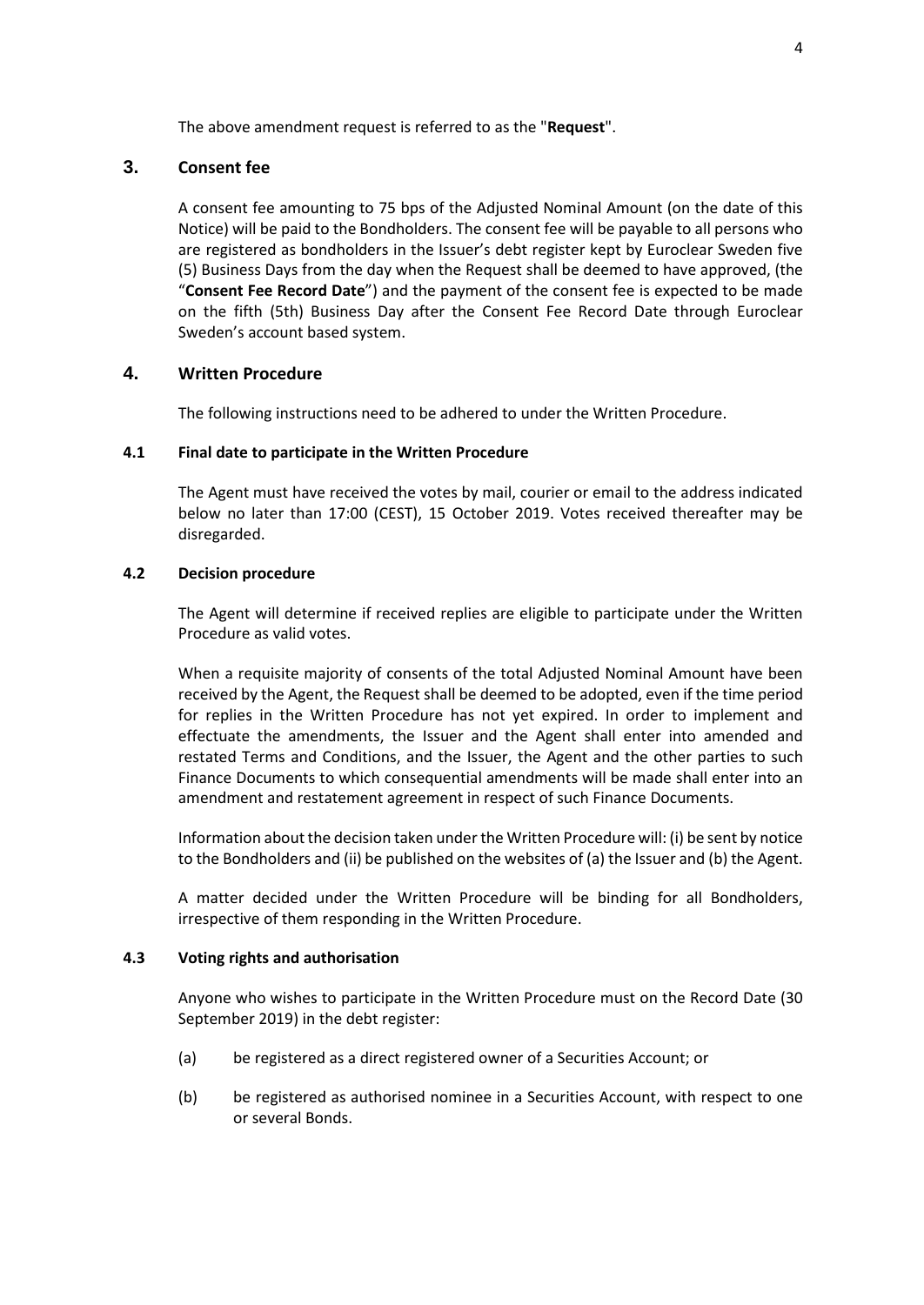The above amendment request is referred to as the "**Request**".

## **3. Consent fee**

A consent fee amounting to 75 bps of the Adjusted Nominal Amount (on the date of this Notice) will be paid to the Bondholders. The consent fee will be payable to all persons who are registered as bondholders in the Issuer's debt register kept by Euroclear Sweden five (5) Business Days from the day when the Request shall be deemed to have approved, (the "**Consent Fee Record Date**") and the payment of the consent fee is expected to be made on the fifth (5th) Business Day after the Consent Fee Record Date through Euroclear Sweden's account based system.

## **4. Written Procedure**

The following instructions need to be adhered to under the Written Procedure.

## **4.1 Final date to participate in the Written Procedure**

The Agent must have received the votes by mail, courier or email to the address indicated below no later than 17:00 (CEST), 15 October 2019. Votes received thereafter may be disregarded.

## **4.2 Decision procedure**

The Agent will determine if received replies are eligible to participate under the Written Procedure as valid votes.

When a requisite majority of consents of the total Adjusted Nominal Amount have been received by the Agent, the Request shall be deemed to be adopted, even if the time period for replies in the Written Procedure has not yet expired. In order to implement and effectuate the amendments, the Issuer and the Agent shall enter into amended and restated Terms and Conditions, and the Issuer, the Agent and the other parties to such Finance Documents to which consequential amendments will be made shall enter into an amendment and restatement agreement in respect of such Finance Documents.

Information about the decision taken under the Written Procedure will: (i) be sent by notice to the Bondholders and (ii) be published on the websites of (a) the Issuer and (b) the Agent.

A matter decided under the Written Procedure will be binding for all Bondholders, irrespective of them responding in the Written Procedure.

## <span id="page-3-0"></span>**4.3 Voting rights and authorisation**

Anyone who wishes to participate in the Written Procedure must on the Record Date (30 September 2019) in the debt register:

- (a) be registered as a direct registered owner of a Securities Account; or
- (b) be registered as authorised nominee in a Securities Account, with respect to one or several Bonds.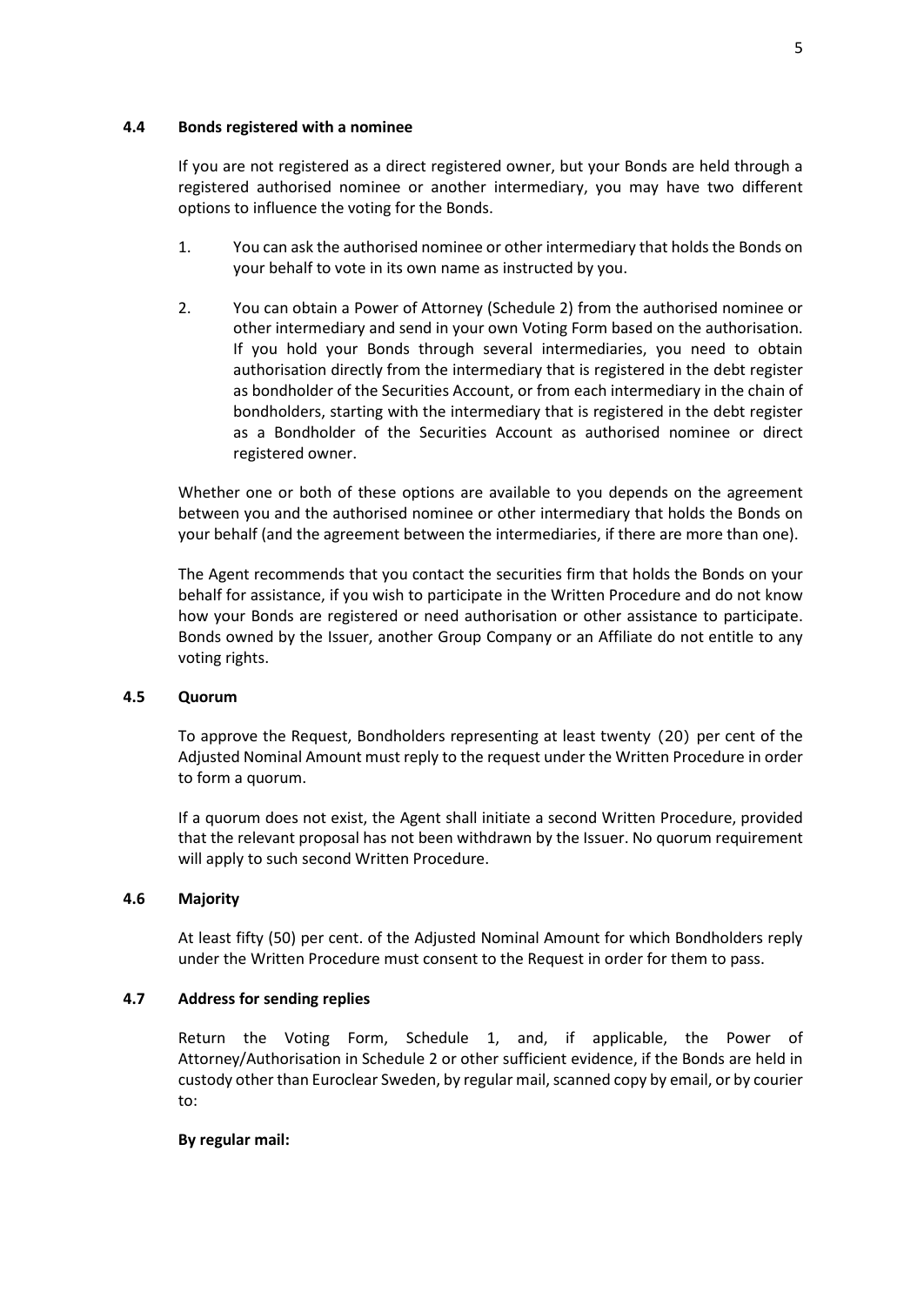### <span id="page-4-0"></span>**4.4 Bonds registered with a nominee**

If you are not registered as a direct registered owner, but your Bonds are held through a registered authorised nominee or another intermediary, you may have two different options to influence the voting for the Bonds.

- 1. You can ask the authorised nominee or other intermediary that holds the Bonds on your behalf to vote in its own name as instructed by you.
- 2. You can obtain a Power of Attorney (Schedule 2) from the authorised nominee or other intermediary and send in your own Voting Form based on the authorisation. If you hold your Bonds through several intermediaries, you need to obtain authorisation directly from the intermediary that is registered in the debt register as bondholder of the Securities Account, or from each intermediary in the chain of bondholders, starting with the intermediary that is registered in the debt register as a Bondholder of the Securities Account as authorised nominee or direct registered owner.

Whether one or both of these options are available to you depends on the agreement between you and the authorised nominee or other intermediary that holds the Bonds on your behalf (and the agreement between the intermediaries, if there are more than one).

The Agent recommends that you contact the securities firm that holds the Bonds on your behalf for assistance, if you wish to participate in the Written Procedure and do not know how your Bonds are registered or need authorisation or other assistance to participate. Bonds owned by the Issuer, another Group Company or an Affiliate do not entitle to any voting rights.

## **4.5 Quorum**

To approve the Request, Bondholders representing at least twenty (20) per cent of the Adjusted Nominal Amount must reply to the request under the Written Procedure in order to form a quorum.

If a quorum does not exist, the Agent shall initiate a second Written Procedure, provided that the relevant proposal has not been withdrawn by the Issuer. No quorum requirement will apply to such second Written Procedure.

## **4.6 Majority**

At least fifty (50) per cent. of the Adjusted Nominal Amount for which Bondholders reply under the Written Procedure must consent to the Request in order for them to pass.

## <span id="page-4-1"></span>**4.7 Address for sending replies**

Return the Voting Form, Schedule 1, and, if applicable, the Power of Attorney/Authorisation in Schedule 2 or other sufficient evidence, if the Bonds are held in custody other than Euroclear Sweden, by regular mail, scanned copy by email, or by courier to:

### **By regular mail:**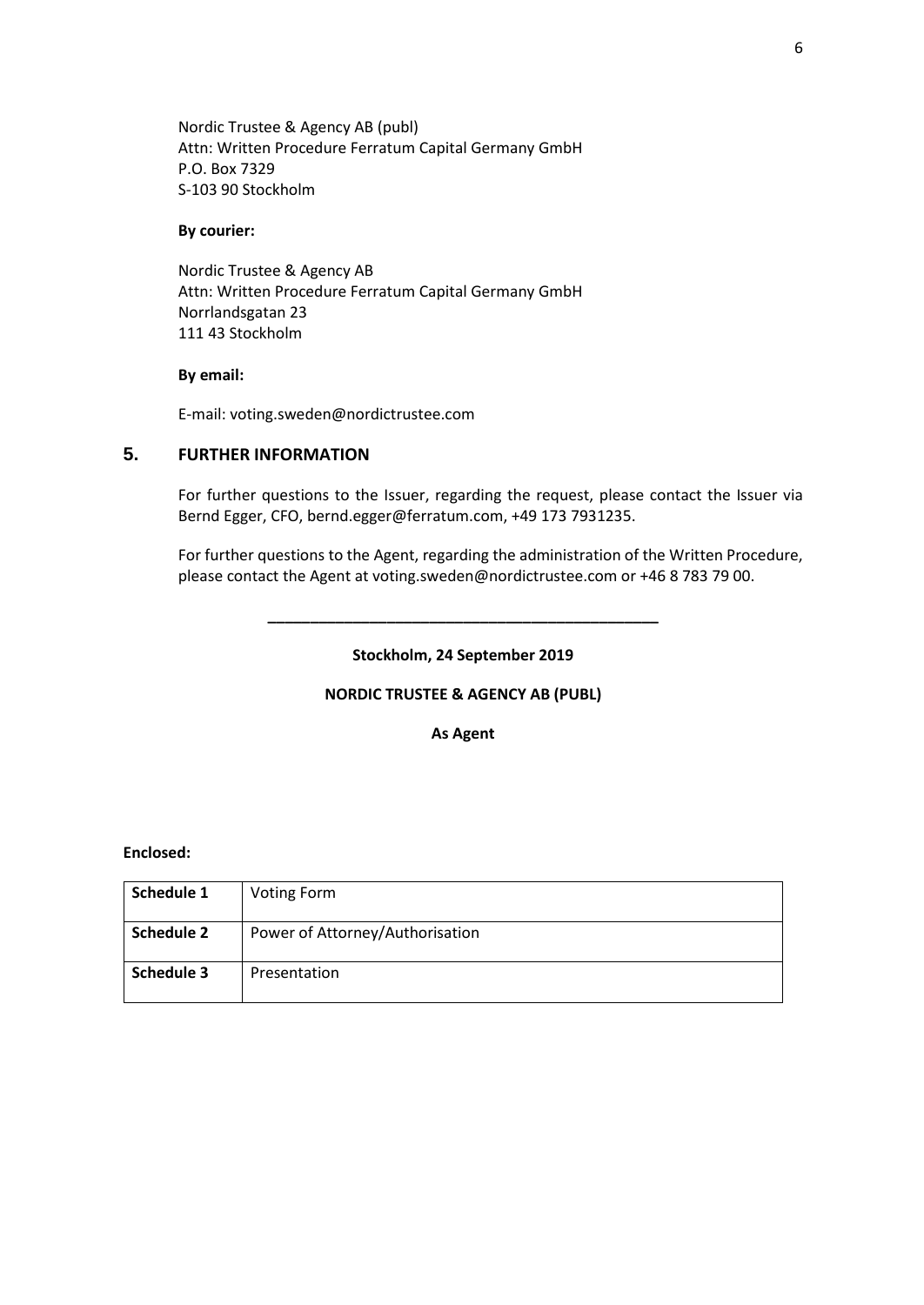Nordic Trustee & Agency AB (publ) Attn: Written Procedure Ferratum Capital Germany GmbH P.O. Box 7329 S-103 90 Stockholm

### **By courier:**

Nordic Trustee & Agency AB Attn: Written Procedure Ferratum Capital Germany GmbH Norrlandsgatan 23 111 43 Stockholm

### **By email:**

E-mail: voting.sweden@nordictrustee.com

# **5. FURTHER INFORMATION**

For further questions to the Issuer, regarding the request, please contact the Issuer via Bernd Egger, CFO, bernd.egger@ferratum.com, +49 173 7931235.

For further questions to the Agent, regarding the administration of the Written Procedure, please contact the Agent at voting.sweden@nordictrustee.com or +46 8 783 79 00.

**Stockholm, 24 September 2019** 

**\_\_\_\_\_\_\_\_\_\_\_\_\_\_\_\_\_\_\_\_\_\_\_\_\_\_\_\_\_\_\_\_\_\_\_\_\_\_\_\_\_\_\_\_\_\_** 

## **NORDIC TRUSTEE & AGENCY AB (PUBL)**

**As Agent** 

## **Enclosed:**

| Schedule 1 | <b>Voting Form</b>              |
|------------|---------------------------------|
| Schedule 2 | Power of Attorney/Authorisation |
| Schedule 3 | Presentation                    |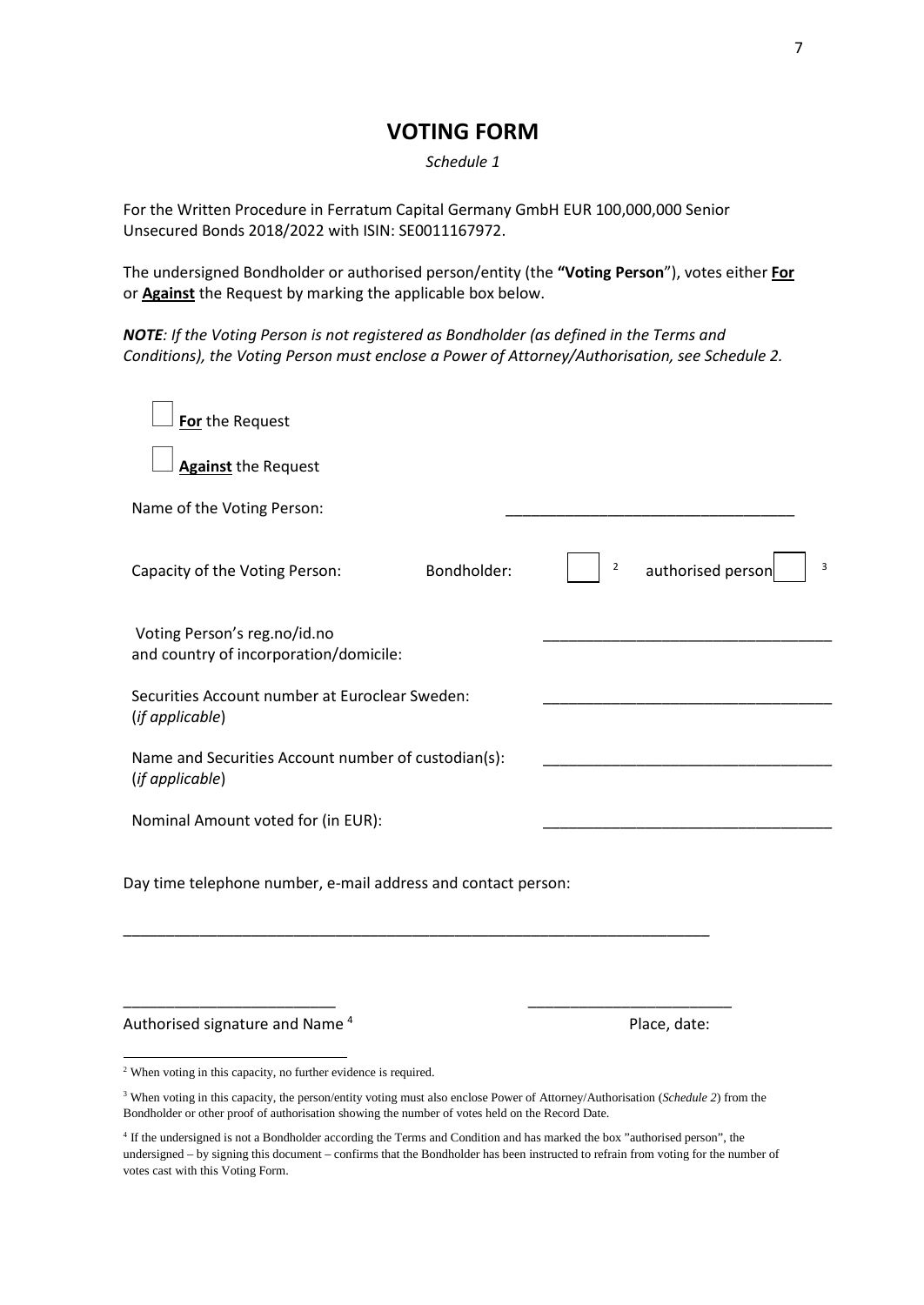# **VOTING FORM**

*Schedule 1* 

For the Written Procedure in Ferratum Capital Germany GmbH EUR 100,000,000 Senior Unsecured Bonds 2018/2022 with ISIN: SE0011167972.

The undersigned Bondholder or authorised person/entity (the **"Voting Person**"), votes either **For** or **Against** the Request by marking the applicable box below.

*NOTE: If the Voting Person is not registered as Bondholder (as defined in the Terms and Conditions), the Voting Person must enclose a Power of Attorney/Authorisation, see Schedule 2.* 

| For the Request                                                        |                                          |
|------------------------------------------------------------------------|------------------------------------------|
| <b>Against</b> the Request                                             |                                          |
| Name of the Voting Person:                                             |                                          |
| Bondholder:<br>Capacity of the Voting Person:                          | 3<br>$\overline{2}$<br>authorised person |
| Voting Person's reg.no/id.no<br>and country of incorporation/domicile: |                                          |
| Securities Account number at Euroclear Sweden:<br>(if applicable)      |                                          |
| Name and Securities Account number of custodian(s):<br>(if applicable) |                                          |
| Nominal Amount voted for (in EUR):                                     |                                          |
| Day time telephone number, e-mail address and contact person:          |                                          |
|                                                                        |                                          |

Authorised signature and Name<sup>4</sup> Place, date:

 $\overline{a}$ 

\_\_\_\_\_\_\_\_\_\_\_\_\_\_\_\_\_\_\_\_\_\_\_\_\_ \_\_\_\_\_\_\_\_\_\_\_\_\_\_\_\_\_\_\_\_\_\_\_\_

<sup>2</sup> When voting in this capacity, no further evidence is required.

<sup>3</sup> When voting in this capacity, the person/entity voting must also enclose Power of Attorney/Authorisation (*Schedule 2*) from the Bondholder or other proof of authorisation showing the number of votes held on the Record Date.

<sup>4</sup> If the undersigned is not a Bondholder according the Terms and Condition and has marked the box "authorised person", the undersigned – by signing this document – confirms that the Bondholder has been instructed to refrain from voting for the number of votes cast with this Voting Form.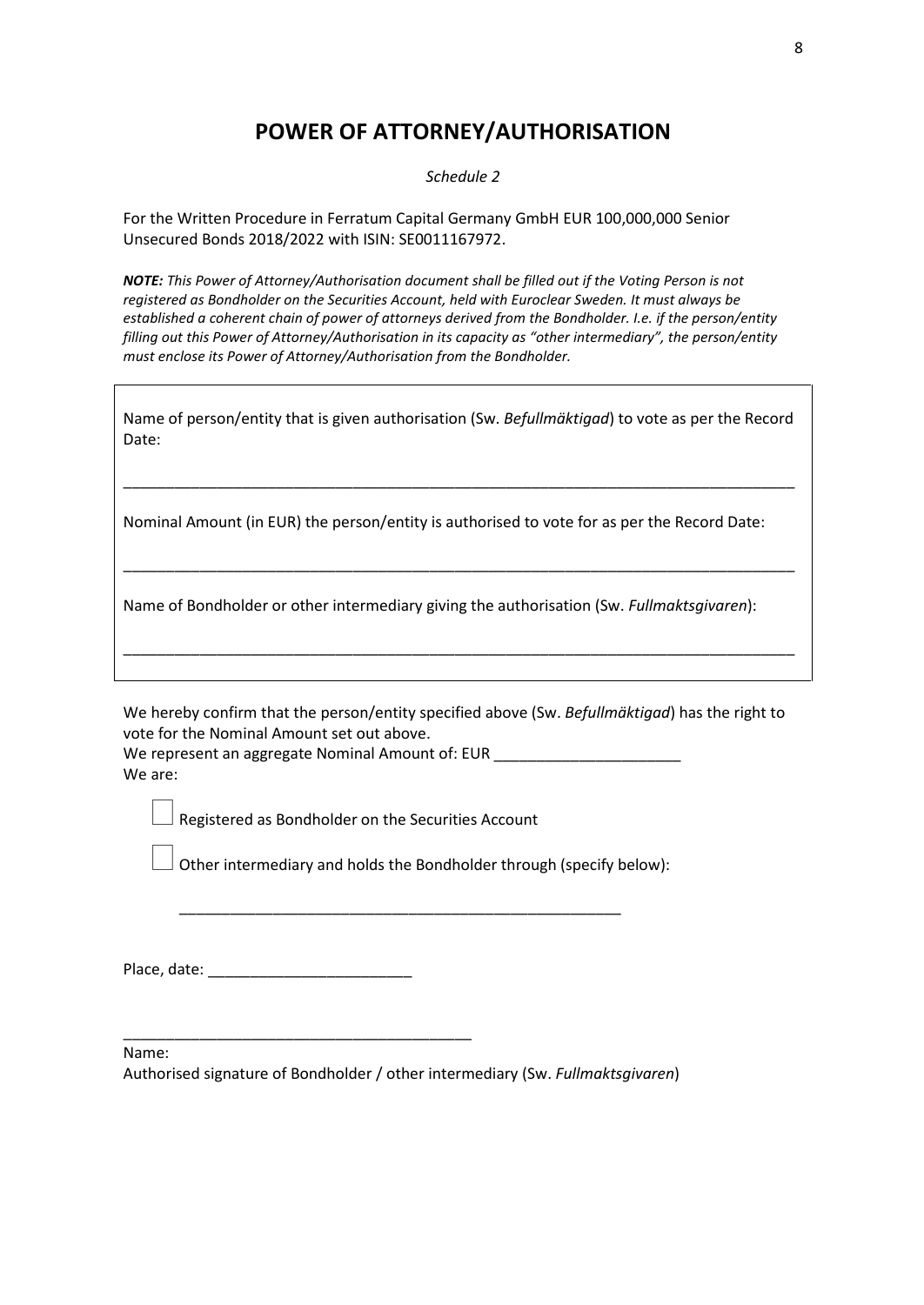# **POWER OF ATTORNEY/AUTHORISATION**

*Schedule 2* 

For the Written Procedure in Ferratum Capital Germany GmbH EUR 100,000,000 Senior Unsecured Bonds 2018/2022 with ISIN: SE0011167972.

*NOTE: This Power of Attorney/Authorisation document shall be filled out if the Voting Person is not registered as Bondholder on the Securities Account, held with Euroclear Sweden. It must always be established a coherent chain of power of attorneys derived from the Bondholder. I.e. if the person/entity filling out this Power of Attorney/Authorisation in its capacity as "other intermediary", the person/entity must enclose its Power of Attorney/Authorisation from the Bondholder.* 

| Name of person/entity that is given authorisation (Sw. Befullmäktigad) to vote as per the Record |  |
|--------------------------------------------------------------------------------------------------|--|
| Date:                                                                                            |  |

\_\_\_\_\_\_\_\_\_\_\_\_\_\_\_\_\_\_\_\_\_\_\_\_\_\_\_\_\_\_\_\_\_\_\_\_\_\_\_\_\_\_\_\_\_\_\_\_\_\_\_\_\_\_\_\_\_\_\_\_\_\_\_\_\_\_\_\_\_\_\_\_\_\_\_\_\_\_\_

\_\_\_\_\_\_\_\_\_\_\_\_\_\_\_\_\_\_\_\_\_\_\_\_\_\_\_\_\_\_\_\_\_\_\_\_\_\_\_\_\_\_\_\_\_\_\_\_\_\_\_\_\_\_\_\_\_\_\_\_\_\_\_\_\_\_\_\_\_\_\_\_\_\_\_\_\_\_\_

\_\_\_\_\_\_\_\_\_\_\_\_\_\_\_\_\_\_\_\_\_\_\_\_\_\_\_\_\_\_\_\_\_\_\_\_\_\_\_\_\_\_\_\_\_\_\_\_\_\_\_\_\_\_\_\_\_\_\_\_\_\_\_\_\_\_\_\_\_\_\_\_\_\_\_\_\_\_\_

Nominal Amount (in EUR) the person/entity is authorised to vote for as per the Record Date:

Name of Bondholder or other intermediary giving the authorisation (Sw. *Fullmaktsgivaren*):

We hereby confirm that the person/entity specified above (Sw. *Befullmäktigad*) has the right to vote for the Nominal Amount set out above.

We represent an aggregate Nominal Amount of: EUR We are:

Registered as Bondholder on the Securities Account

Other intermediary and holds the Bondholder through (specify below):

\_\_\_\_\_\_\_\_\_\_\_\_\_\_\_\_\_\_\_\_\_\_\_\_\_\_\_\_\_\_\_\_\_\_\_\_\_\_\_\_\_\_\_\_\_\_\_\_\_\_\_\_

Place, date: \_\_\_\_\_\_\_\_\_\_\_\_\_\_\_\_\_\_\_\_\_\_\_\_

\_\_\_\_\_\_\_\_\_\_\_\_\_\_\_\_\_\_\_\_\_\_\_\_\_\_\_\_\_\_\_\_\_\_\_\_\_\_\_\_\_

Name:

Authorised signature of Bondholder / other intermediary (Sw. *Fullmaktsgivaren*)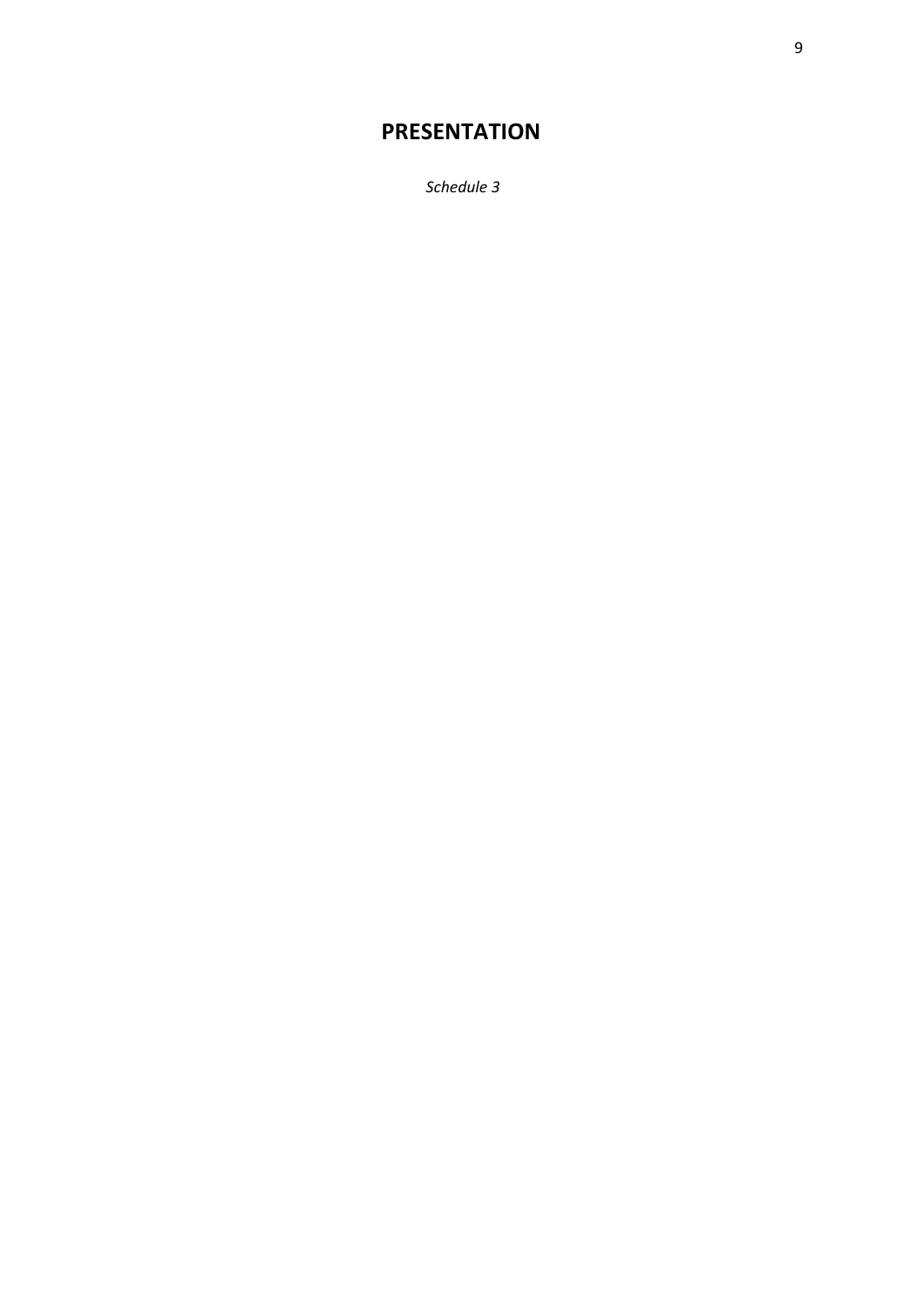# **PRESENTATION**

*Schedule 3*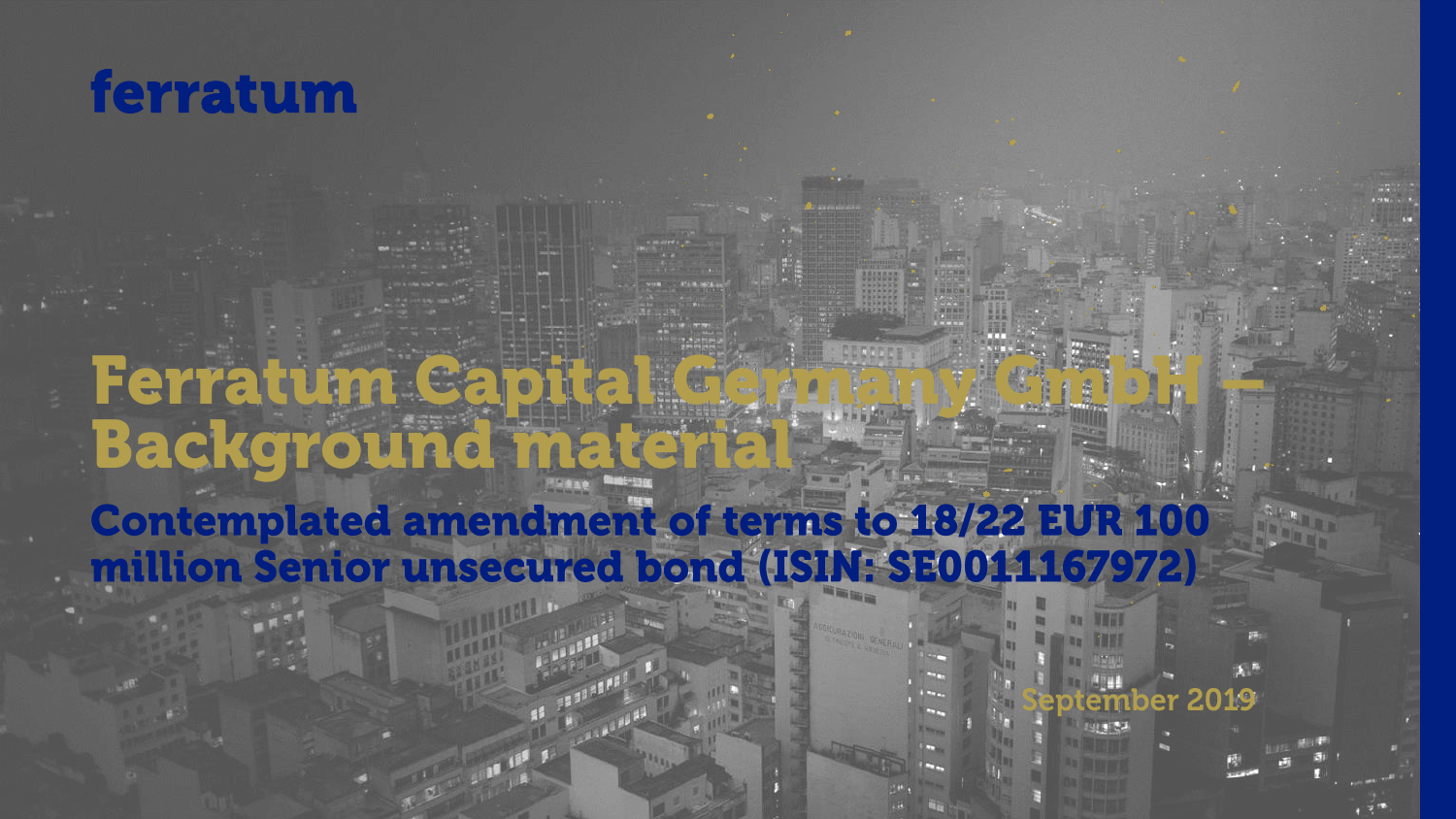

# Ferratum Capital G **Background mater Contemplated amendment of terms to 18/22 EUR 100** million Senior unsecured bond (ISIN: SE0011167972)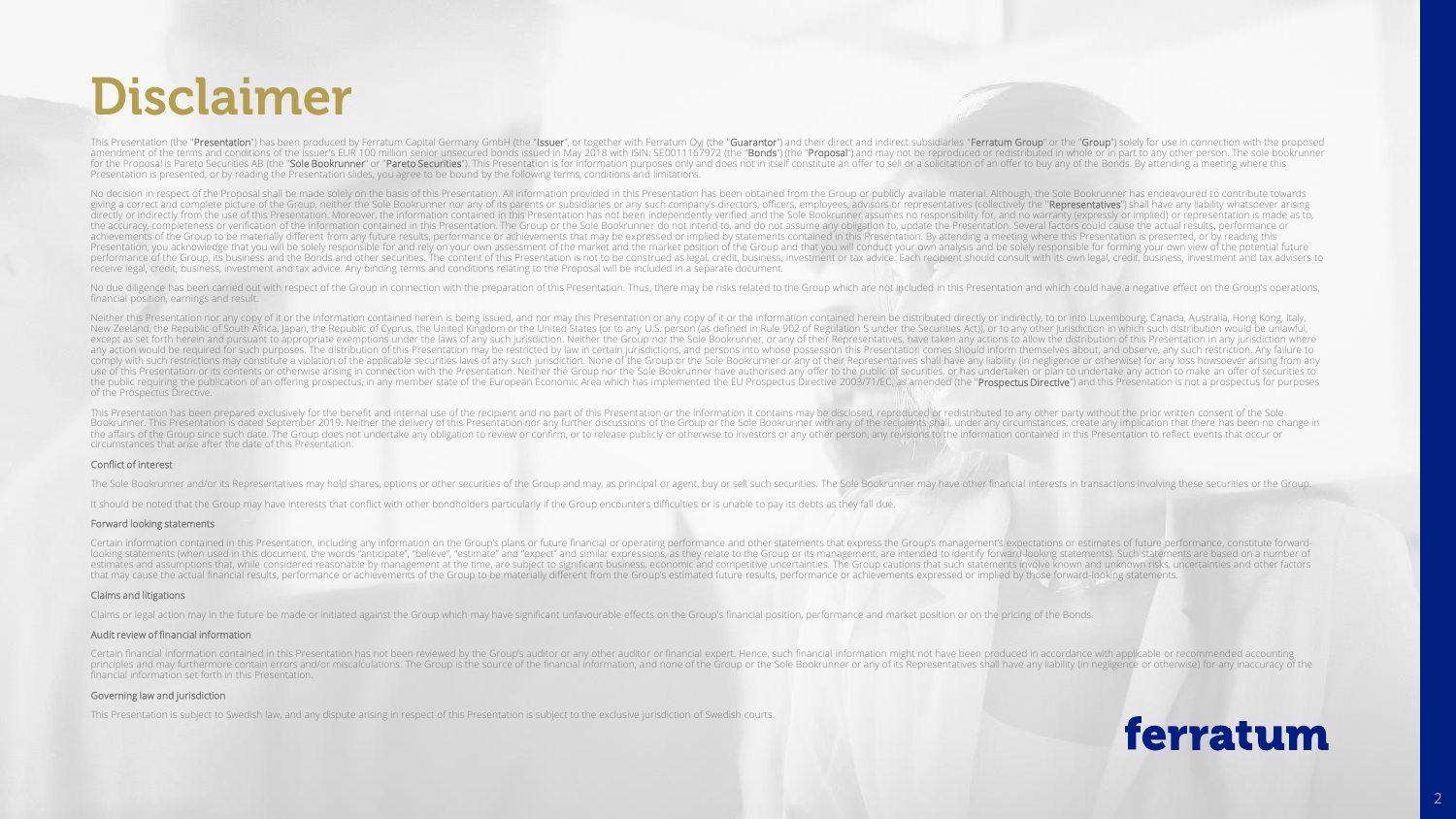# **Disclaimer**

This Presentation (the "**Presentation**") has been produced by Ferratum Capital Germany GmbH (the "**Issuer**", or together with Ferratum Oyj (the "**Guarantor**") and their direct and indirect subsidiaries "**Ferratum Group**" o for the Proposal is Pareto Securities AB (the "Sole Bookrunner" or "Pareto Securities"). This Presentation is for information purposes only and does not in itself constitute an offer to sell or a solicitation of an offer t Presentation is presented, or by reading the Presentation slides, you agree to be bound by the following terms, conditions and limitations.

No decision in respect of the Proposal shall be made solely on the basis of this Presentation. All information provided in this Presentation has been obtained from the Group or publicly available material. Although, the So giving a correct and complete picture of the Group, neither the Sole Bookrunner nor any of its parents or subsidiaries or any such company's directors, officers, employees, advisors or representatives (collectively the "Re directly or indirectly from the use of this Presentation. Moreover, the information contained in this Presentation has not been independently verified and the Sole Bookrunner assumes no responsibility for, and no warranty the accuracy, completeness or verification of the information contained in this Presentation. The Group or the Sole Bookrunner do not intend to, and do not assume any obligation to, update the Presentation. Several factors achievements of the Group to be materially different from any future results, performance or achievements that may be expressed or implied by statements contained in this Presentation. By attending a meeting where this Pre Presentation, you acknowledge that you will be solely responsible for and rely on your own assessment of the market and the market position of the Group and that you will conduct your own analysis and be solely responsible performance of the Group, its business and the Bonds and other securities. The content of this Presentation is not to be construed as legal, credit, business, investment or tax advice. Each recipient should consult with it receive legal, credit, business, investment and tax advice. Any binding terms and conditions relating to the Proposal will be included in a separate document.

No due diligence has been carried out with respect of the Group in connection with the preparation of this Presentation. Thus, there may be risks related to the Group which are not included in this Presentation and which c financial position, earnings and result.

Neither this Presentation nor any copy of it or the information contained herein is being issued, and nor may this Presentation or any copy of it or the information contained herein be distributed directly or indirectly, t New Zeeland, the Republic of South Africa, Japan, the Republic of Cyprus, the United Kingdom or the United States (or to any U.S. person (as defined in Rule 902 of Regulation S under the Securities Act)), or to any other j except as set forth herein and pursuant to appropriate exemptions under the laws of any such jurisdiction. Neither the Group nor the Sole Bookrunner, or any of their Representatives, have taken any actions to allow the dis any action would be required for such purposes. The distribution of this Presentation may be restricted by law in certain jurisdictions, and persons into whose possession this Presentation comes should inform themselves ab comply with such restrictions may constitute a violation of the applicable securities laws of any such jurisdiction. None of the Group or the Sole Bookrunner or any of their Representatives shall have any liability (in neg use of this Presentation or its contents or otherwise arising in connection with the Presentation. Neither the Group nor the Sole Bookrunner have authorised any offer to the public of securities, or has undertaken or plan the public requiring the publication of an offering prospectus, in any member state of the European Economic Area which has implemented the EU Prospectus Directive 2003/71/EC, as amended (the "Prospectus Directive") and th of the Prospectus Directive.

This Presentation has been prepared exclusively for the benefit and internal use of the recipient and no part of this Presentation or the information it contains may be disclosed, reproduced or redistributed to any other p Bookrunner. This Presentation is dated September 2019. Neither the delivery of this Presentation nor any further discussions of the Group or the Sole Bookrunner with any of the recipients shall, under any circumstances, cr the affairs of the Group since such date. The Group does not undertake any obligation to review or confirm, or to release publicly or otherwise to investors or any other person, any revisions to the information contained i circumstances that arise after the date of this Presentation.

#### Conflict of interest

The Sole Bookrunner and/or its Representatives may hold shares, options or other securities of the Group and may, as principal or agent, buy or sell such securities. The Sole Bookrunner may have other financial interests i

It should be noted that the Group may have interests that conflict with other bondholders particularly if the Group encounters difficulties or is unable to pay its debts as they fall due.

#### Forward looking statements

Certain information contained in this Presentation, including any information on the Group's plans or future financial or operating performance and other statements that express the Group's management's expectations or est looking statements (when used in this document, the words "anticipate", "believe", "estimate" and "expect" and similar expressions, as they relate to the Group or its management, are intended to identify forward-looking st estimates and assumptions that, while considered reasonable by management at the time, are subject to significant business, economic and competitive uncertainties. The Group cautions that such statements involve known and that may cause the actual financial results, performance or achievements of the Group to be materially different from the Group's estimated future results, performance or achievements expressed or implied by those forward-

#### Claims and litigations

Claims or legal action may in the future be made or initiated against the Group which may have significant unfavourable effects on the Group's financial position, performance and market position or on the pricing of the Bo

#### Audit review of financial information

Certain financial information contained in this Presentation has not been reviewed by the Group's auditor or any other auditor or financial expert. Hence, such financial information might not have been produced in accordan principles and may furthermore contain errors and/or miscalculations. The Group is the source of the financial information, and none of the Group or the Sole Bookrunner or any of its Representatives shall have any liabilit financial information set forth in this Presentation.

#### Governing law and jurisdiction

This Presentation is subject to Swedish law, and any dispute arising in respect of this Presentation is subject to the exclusive jurisdiction of Swedish courts.

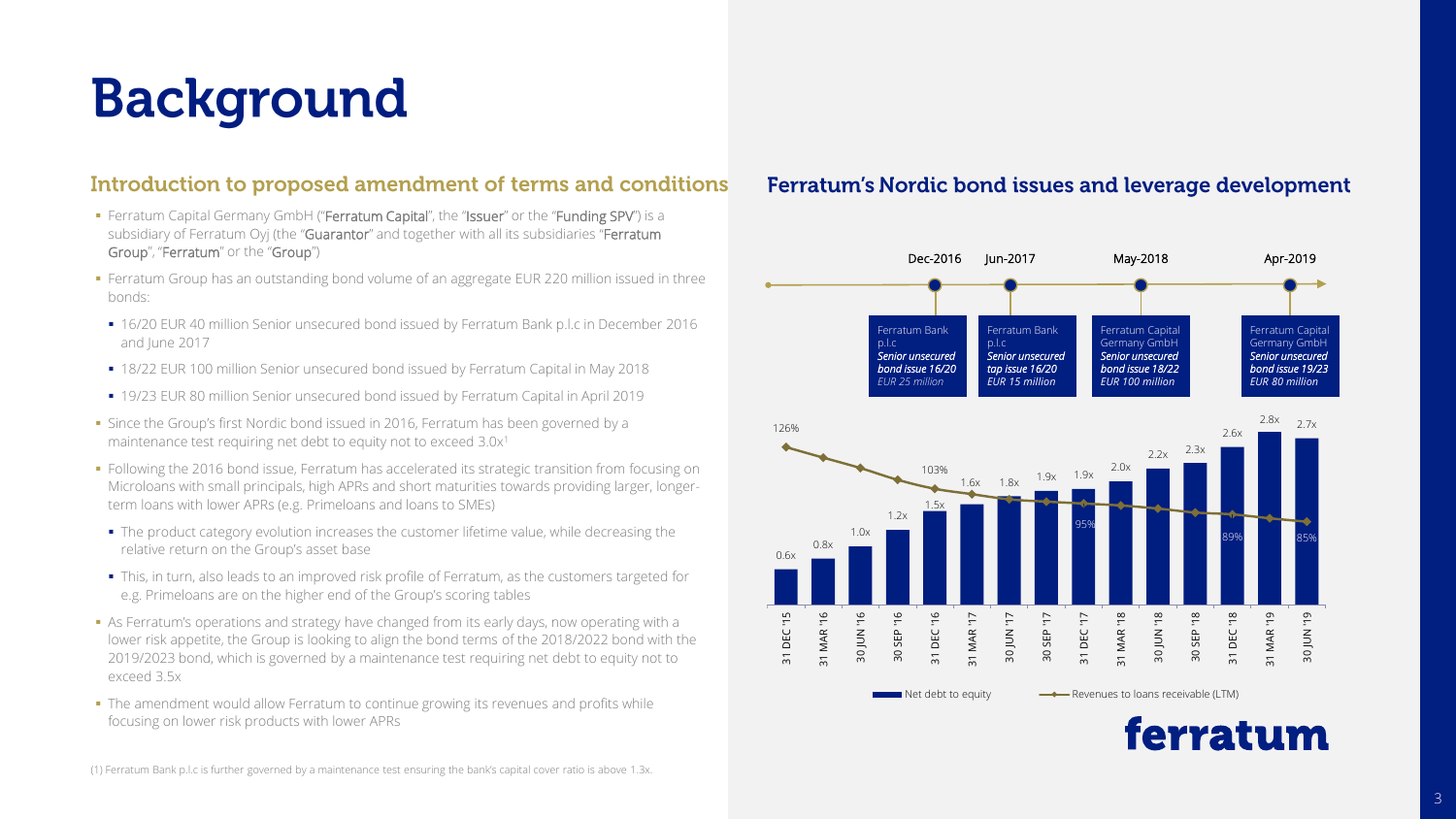# **Background**

# Introduction to proposed amendment of terms and conditions

- **Ferratum Capital Germany GmbH ("Ferratum Capital"**, the "Issuer" or the "Funding SPV") is a subsidiary of Ferratum Oyj (the "Guarantor" and together with all its subsidiaries "Ferratum Group", "Ferratum" or the "Group")
- **Ferratum Group has an outstanding bond volume of an aggregate EUR 220 million issued in three** bonds:
- 16/20 EUR 40 million Senior unsecured bond issued by Ferratum Bank p.l.c in December 2016 and June 2017
- 18/22 EUR 100 million Senior unsecured bond issued by Ferratum Capital in May 2018
- 19/23 EUR 80 million Senior unsecured bond issued by Ferratum Capital in April 2019
- **.** Since the Group's first Nordic bond issued in 2016, Ferratum has been governed by a maintenance test requiring net debt to equity not to exceed 3.0x<sup>1</sup>
- Following the 2016 bond issue, Ferratum has accelerated its strategic transition from focusing on Microloans with small principals, high APRs and short maturities towards providing larger, longerterm loans with lower APRs (e.g. Primeloans and loans to SMEs)
- The product category evolution increases the customer lifetime value, while decreasing the relative return on the Group's asset base
- This, in turn, also leads to an improved risk profile of Ferratum, as the customers targeted for e.g. Primeloans are on the higher end of the Group's scoring tables
- **•** As Ferratum's operations and strategy have changed from its early days, now operating with a lower risk appetite, the Group is looking to align the bond terms of the 2018/2022 bond with the 2019/2023 bond, which is governed by a maintenance test requiring net debt to equity not to exceed 3.5x
- The amendment would allow Ferratum to continue growing its revenues and profits while focusing on lower risk products with lower APRs

# Ferratum's Nordic bond issues and leverage development



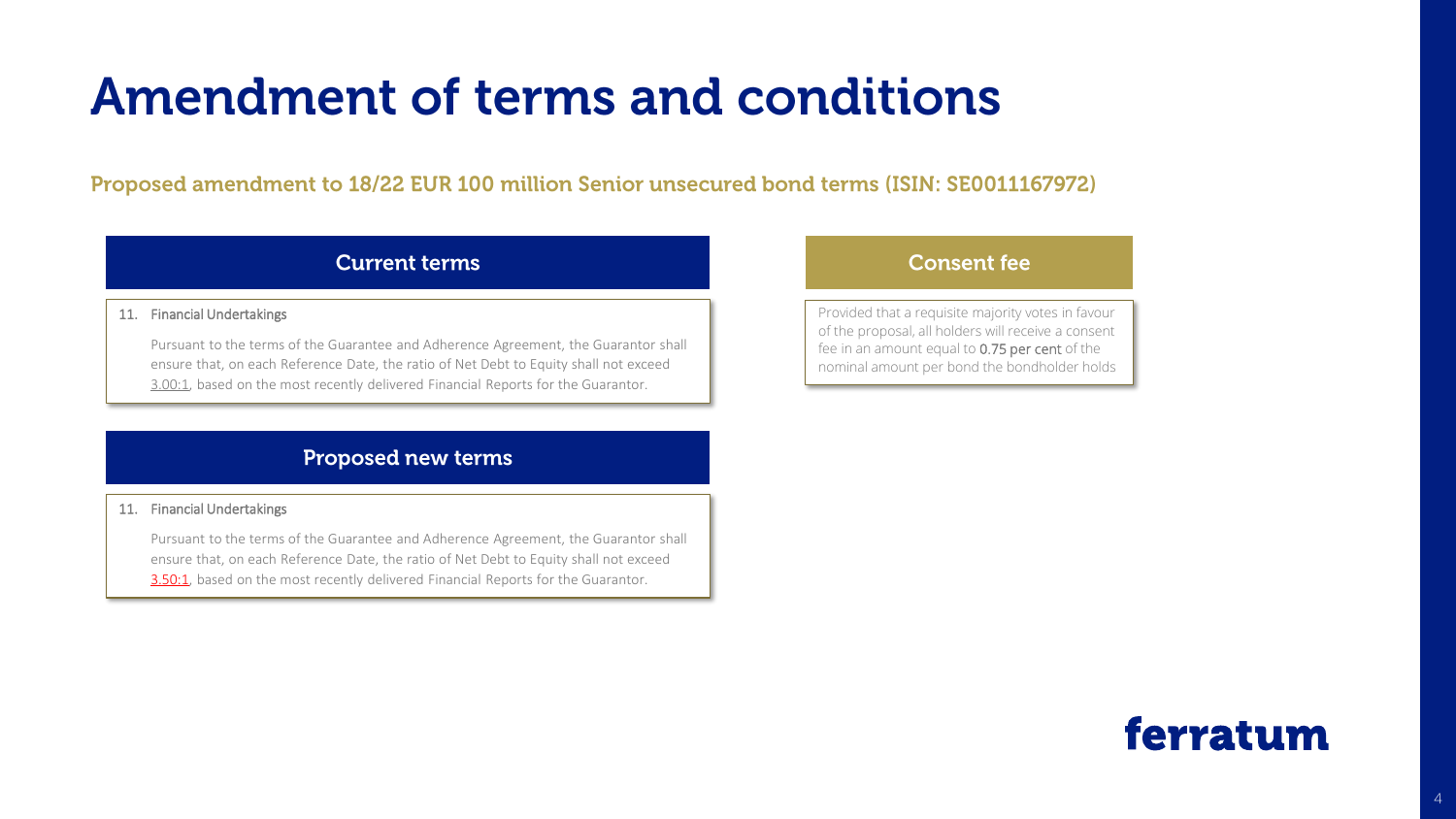# **Amendment of terms and conditions**

Proposed amendment to 18/22 EUR 100 million Senior unsecured bond terms (ISIN: SE0011167972)

# **Current terms**

### 11. Financial Undertakings

Pursuant to the terms of the Guarantee and Adherence Agreement, the Guarantor shall ensure that, on each Reference Date, the ratio of Net Debt to Equity shall not exceed 3.00:1, based on the most recently delivered Financial Reports for the Guarantor.

# **Proposed new terms**

### 11. Financial Undertakings

Pursuant to the terms of the Guarantee and Adherence Agreement, the Guarantor shall ensure that, on each Reference Date, the ratio of Net Debt to Equity shall not exceed 3.50:1, based on the most recently delivered Financial Reports for the Guarantor.

# **Consent fee**

Provided that a requisite majority votes in favour of the proposal, all holders will receive a consent fee in an amount equal to 0.75 per cent of the nominal amount per bond the bondholder holds

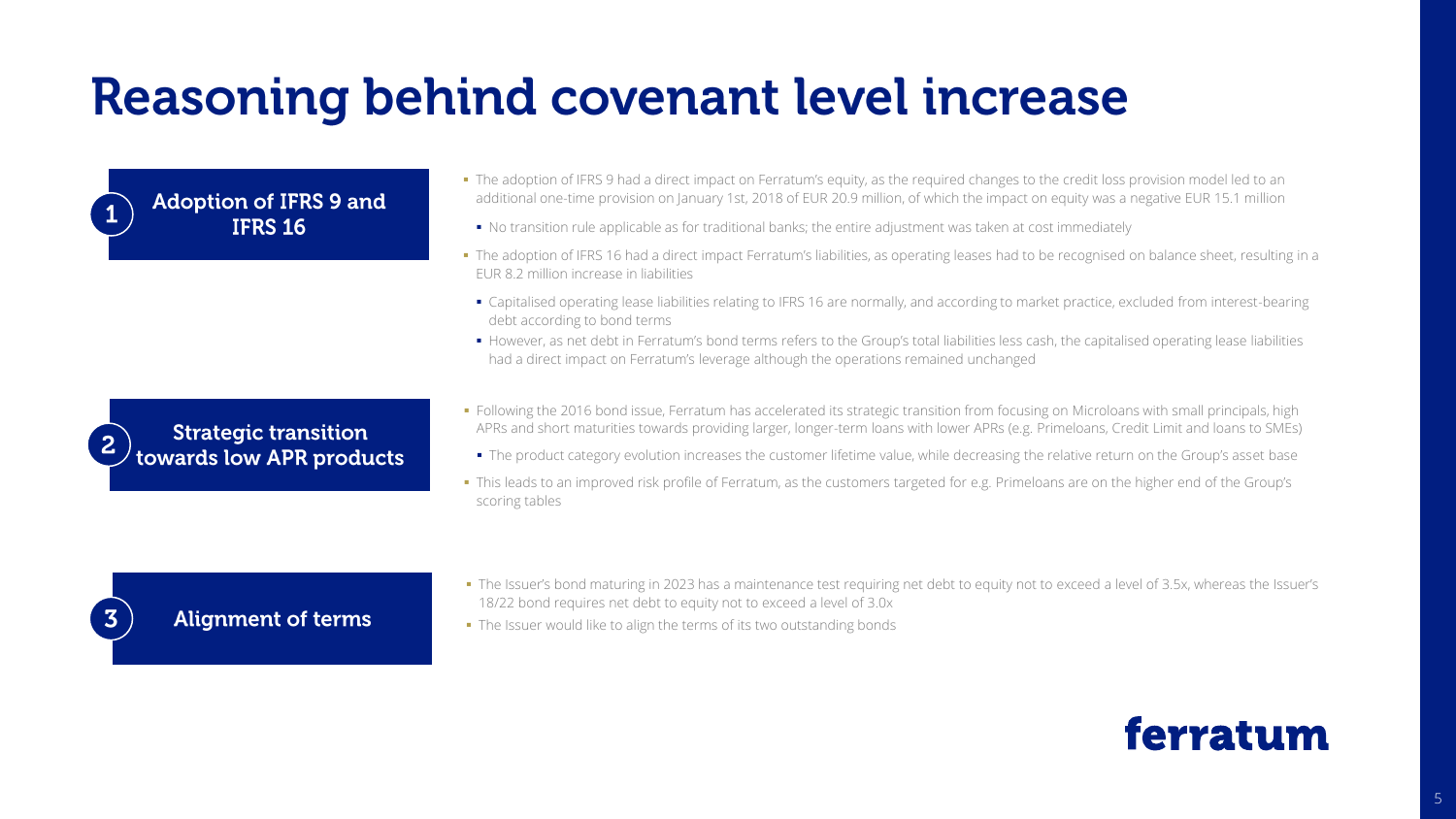# **Reasoning behind covenant level increase**

**Adoption of IFRS 9 and IFRS 16** 

- The adoption of IFRS 9 had a direct impact on Ferratum's equity, as the required changes to the credit loss provision model led to an additional one-time provision on January 1st, 2018 of EUR 20.9 million, of which the impact on equity was a negative EUR 15.1 million
	- No transition rule applicable as for traditional banks; the entire adjustment was taken at cost immediately
- The adoption of IFRS 16 had a direct impact Ferratum's liabilities, as operating leases had to be recognised on balance sheet, resulting in a EUR 8.2 million increase in liabilities
	- Capitalised operating lease liabilities relating to IFRS 16 are normally, and according to market practice, excluded from interest-bearing debt according to bond terms
	- However, as net debt in Ferratum's bond terms refers to the Group's total liabilities less cash, the capitalised operating lease liabilities had a direct impact on Ferratum's leverage although the operations remained unchanged



- Following the 2016 bond issue, Ferratum has accelerated its strategic transition from focusing on Microloans with small principals, high APRs and short maturities towards providing larger, longer-term loans with lower APRs (e.g. Primeloans, Credit Limit and loans to SMEs)
	- . The product category evolution increases the customer lifetime value, while decreasing the relative return on the Group's asset base
- This leads to an improved risk profile of Ferratum, as the customers targeted for e.g. Primeloans are on the higher end of the Group's scoring tables

# **Alignment of terms**

 $\overline{\mathbf{3}}$ 

- The Issuer's bond maturing in 2023 has a maintenance test requiring net debt to equity not to exceed a level of 3.5x, whereas the Issuer's 18/22 bond requires net debt to equity not to exceed a level of 3.0x
- The Issuer would like to align the terms of its two outstanding bonds

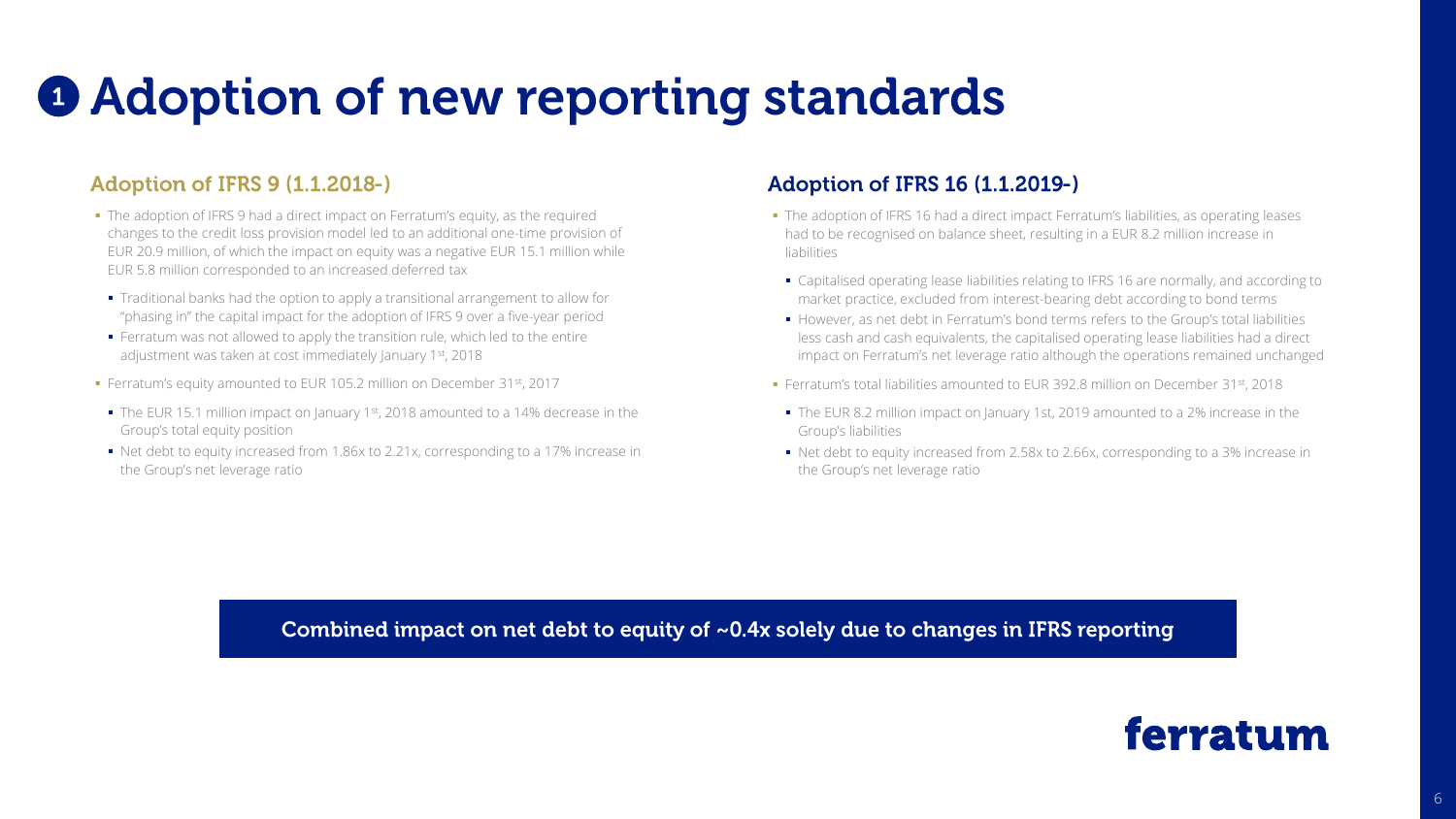# **O** Adoption of new reporting standards

# **Adoption of IFRS 9 (1.1.2018-)**

- The adoption of IFRS 9 had a direct impact on Ferratum's equity, as the required changes to the credit loss provision model led to an additional one-time provision of EUR 20.9 million, of which the impact on equity was a negative EUR 15.1 million while EUR 5.8 million corresponded to an increased deferred tax
- Traditional banks had the option to apply a transitional arrangement to allow for "phasing in" the capital impact for the adoption of IFRS 9 over a five-year period
- Ferratum was not allowed to apply the transition rule, which led to the entire adjustment was taken at cost immediately January 1st, 2018
- Ferratum's equity amounted to EUR 105.2 million on December 31st, 2017
- $\bullet$  The EUR 15.1 million impact on January 1st, 2018 amounted to a 14% decrease in the Group's total equity position
- Net debt to equity increased from 1.86x to 2.21x, corresponding to a 17% increase in the Group's net leverage ratio

# **Adoption of IFRS 16 (1.1.2019-)**

- **.** The adoption of IFRS 16 had a direct impact Ferratum's liabilities, as operating leases had to be recognised on balance sheet, resulting in a EUR 8.2 million increase in liabilities
- Capitalised operating lease liabilities relating to IFRS 16 are normally, and according to market practice, excluded from interest-bearing debt according to bond terms
- **However, as net debt in Ferratum's bond terms refers to the Group's total liabilities** less cash and cash equivalents, the capitalised operating lease liabilities had a direct impact on Ferratum's net leverage ratio although the operations remained unchanged
- Ferratum's total liabilities amounted to EUR 392.8 million on December 31st, 2018
- The EUR 8.2 million impact on January 1st, 2019 amounted to a 2% increase in the Group's liabilities
- Net debt to equity increased from 2.58x to 2.66x, corresponding to a 3% increase in the Group's net leverage ratio

Combined impact on net debt to equity of ~0.4x solely due to changes in IFRS reporting

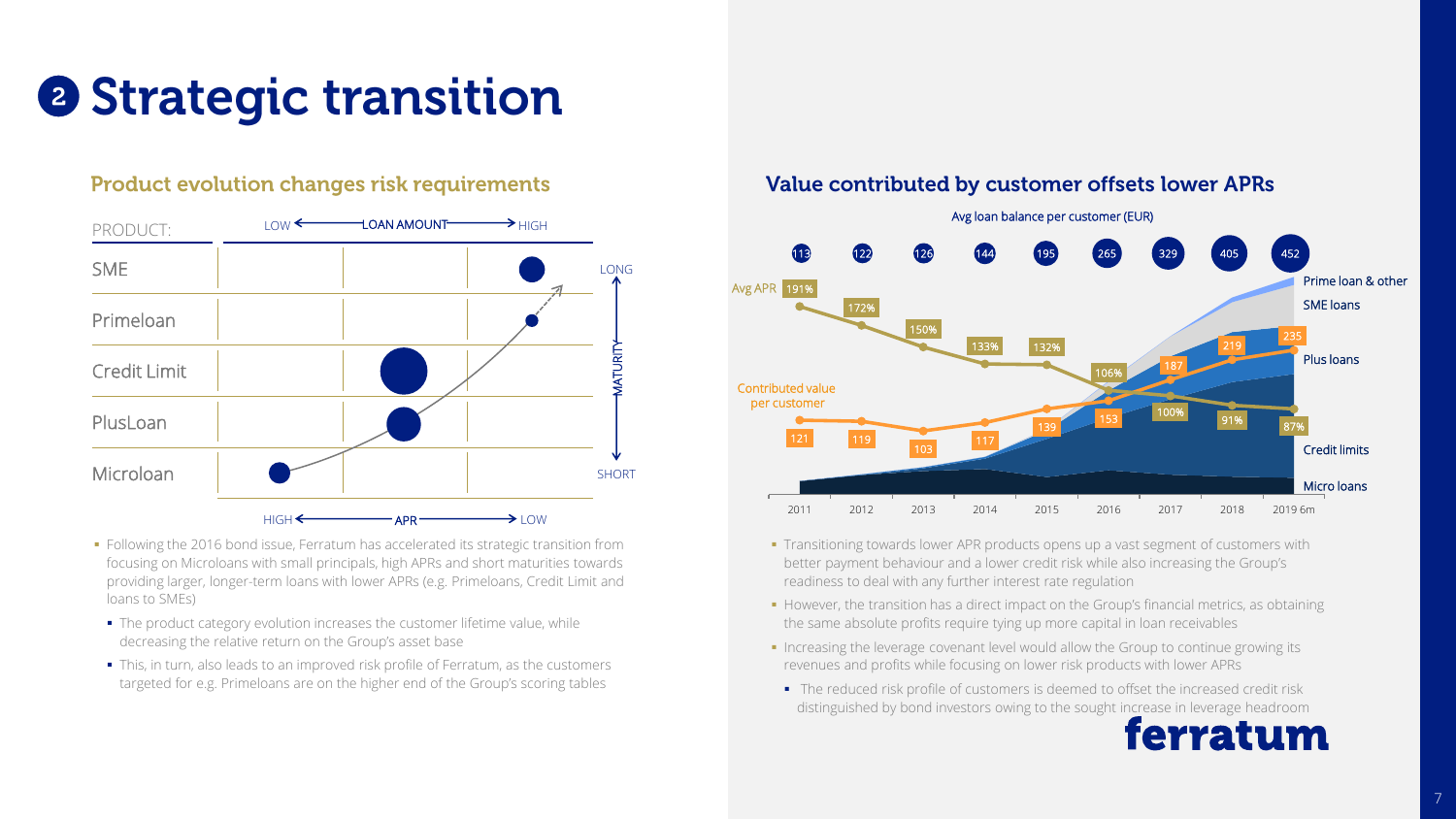# **2 Strategic transition**

# **Product evolution changes risk requirements**



- **•** Following the 2016 bond issue, Ferratum has accelerated its strategic transition from focusing on Microloans with small principals, high APRs and short maturities towards providing larger, longer-term loans with lower APRs (e.g. Primeloans, Credit Limit and loans to SMEs)
	- The product category evolution increases the customer lifetime value, while decreasing the relative return on the Group's asset base
	- This, in turn, also leads to an improved risk profile of Ferratum, as the customers targeted for e.g. Primeloans are on the higher end of the Group's scoring tables

# Value contributed by customer offsets lower APRs



- **Transitioning towards lower APR products opens up a vast segment of customers with** better payment behaviour and a lower credit risk while also increasing the Group's readiness to deal with any further interest rate regulation
- However, the transition has a direct impact on the Group's financial metrics, as obtaining the same absolute profits require tying up more capital in loan receivables
- **.** Increasing the leverage covenant level would allow the Group to continue growing its revenues and profits while focusing on lower risk products with lower APRs
- The reduced risk profile of customers is deemed to offset the increased credit risk distinguished by bond investors owing to the sought increase in leverage headroom